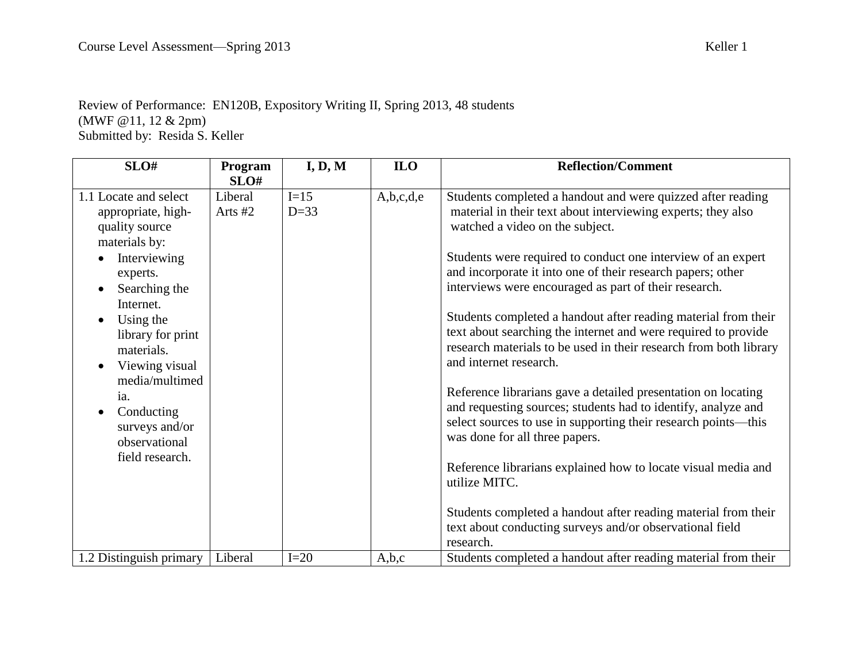## Review of Performance: EN120B, Expository Writing II, Spring 2013, 48 students (MWF @11, 12 & 2pm) Submitted by: Resida S. Keller

| SLO#                                                                                                                                                                                                                                                                                                    | Program              | I, D, M          | <b>ILO</b> | <b>Reflection/Comment</b>                                                                                                                                                                                                                                                                                                                                                                                                                                                                                                                                                                                                                                                                                                                                                                                                                                                                                                                                                                                                                                    |
|---------------------------------------------------------------------------------------------------------------------------------------------------------------------------------------------------------------------------------------------------------------------------------------------------------|----------------------|------------------|------------|--------------------------------------------------------------------------------------------------------------------------------------------------------------------------------------------------------------------------------------------------------------------------------------------------------------------------------------------------------------------------------------------------------------------------------------------------------------------------------------------------------------------------------------------------------------------------------------------------------------------------------------------------------------------------------------------------------------------------------------------------------------------------------------------------------------------------------------------------------------------------------------------------------------------------------------------------------------------------------------------------------------------------------------------------------------|
|                                                                                                                                                                                                                                                                                                         | SLO#                 |                  |            |                                                                                                                                                                                                                                                                                                                                                                                                                                                                                                                                                                                                                                                                                                                                                                                                                                                                                                                                                                                                                                                              |
| 1.1 Locate and select<br>appropriate, high-<br>quality source<br>materials by:<br>Interviewing<br>experts.<br>Searching the<br>Internet.<br>Using the<br>library for print<br>materials.<br>Viewing visual<br>media/multimed<br>1a.<br>Conducting<br>surveys and/or<br>observational<br>field research. | Liberal<br>Arts $#2$ | $I=15$<br>$D=33$ | A,b,c,d,e  | Students completed a handout and were quizzed after reading<br>material in their text about interviewing experts; they also<br>watched a video on the subject.<br>Students were required to conduct one interview of an expert<br>and incorporate it into one of their research papers; other<br>interviews were encouraged as part of their research.<br>Students completed a handout after reading material from their<br>text about searching the internet and were required to provide<br>research materials to be used in their research from both library<br>and internet research.<br>Reference librarians gave a detailed presentation on locating<br>and requesting sources; students had to identify, analyze and<br>select sources to use in supporting their research points—this<br>was done for all three papers.<br>Reference librarians explained how to locate visual media and<br>utilize MITC.<br>Students completed a handout after reading material from their<br>text about conducting surveys and/or observational field<br>research. |
| 1.2 Distinguish primary                                                                                                                                                                                                                                                                                 | Liberal              | $I=20$           | A,b,c      | Students completed a handout after reading material from their                                                                                                                                                                                                                                                                                                                                                                                                                                                                                                                                                                                                                                                                                                                                                                                                                                                                                                                                                                                               |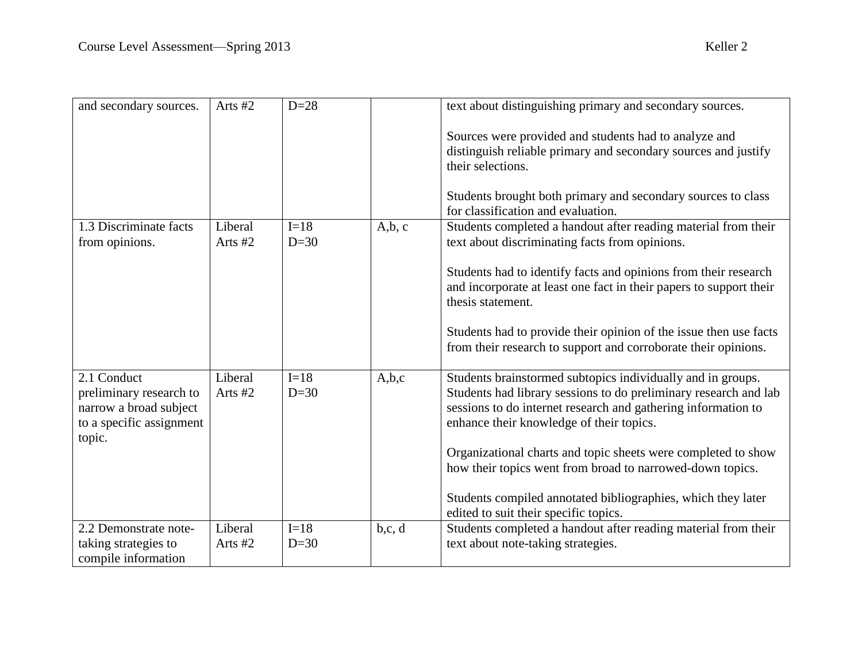| and secondary sources.                                                                                 | Arts #2              | $D=28$           |       | text about distinguishing primary and secondary sources.                                                                                                                                                                                     |
|--------------------------------------------------------------------------------------------------------|----------------------|------------------|-------|----------------------------------------------------------------------------------------------------------------------------------------------------------------------------------------------------------------------------------------------|
|                                                                                                        |                      |                  |       | Sources were provided and students had to analyze and<br>distinguish reliable primary and secondary sources and justify<br>their selections.<br>Students brought both primary and secondary sources to class                                 |
|                                                                                                        |                      |                  |       | for classification and evaluation.                                                                                                                                                                                                           |
| 1.3 Discriminate facts<br>from opinions.                                                               | Liberal<br>Arts $#2$ | $I=18$<br>$D=30$ | A,b,c | Students completed a handout after reading material from their<br>text about discriminating facts from opinions.                                                                                                                             |
|                                                                                                        |                      |                  |       | Students had to identify facts and opinions from their research<br>and incorporate at least one fact in their papers to support their<br>thesis statement.                                                                                   |
|                                                                                                        |                      |                  |       | Students had to provide their opinion of the issue then use facts<br>from their research to support and corroborate their opinions.                                                                                                          |
| 2.1 Conduct<br>preliminary research to<br>narrow a broad subject<br>to a specific assignment<br>topic. | Liberal<br>Arts #2   | $I=18$<br>$D=30$ | A,b,c | Students brainstormed subtopics individually and in groups.<br>Students had library sessions to do preliminary research and lab<br>sessions to do internet research and gathering information to<br>enhance their knowledge of their topics. |
|                                                                                                        |                      |                  |       | Organizational charts and topic sheets were completed to show<br>how their topics went from broad to narrowed-down topics.                                                                                                                   |
|                                                                                                        |                      |                  |       | Students compiled annotated bibliographies, which they later<br>edited to suit their specific topics.                                                                                                                                        |
| 2.2 Demonstrate note-<br>taking strategies to<br>compile information                                   | Liberal<br>Arts #2   | $I=18$<br>$D=30$ | b,c,d | Students completed a handout after reading material from their<br>text about note-taking strategies.                                                                                                                                         |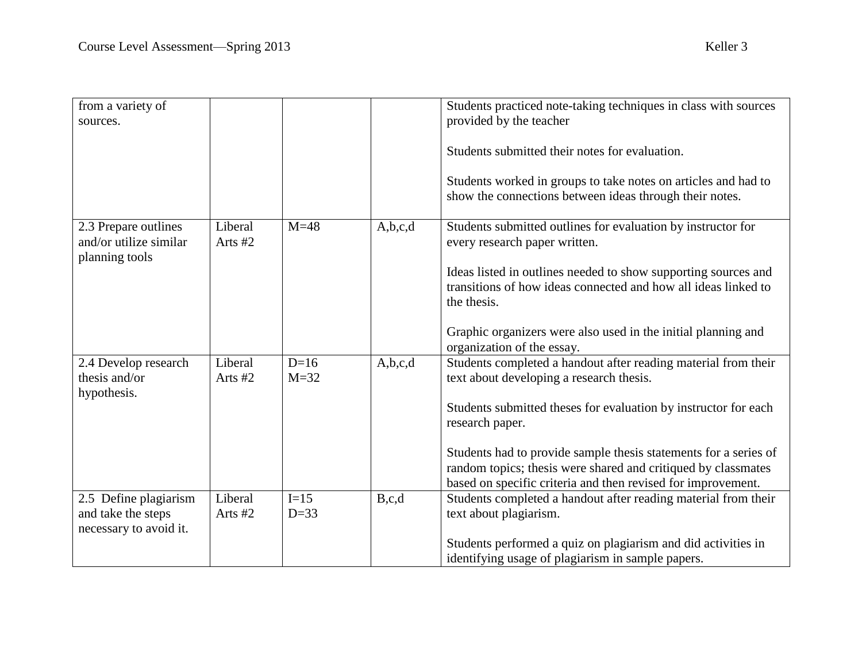| from a variety of<br>sources.                                         |                      |                  |         | Students practiced note-taking techniques in class with sources<br>provided by the teacher<br>Students submitted their notes for evaluation.<br>Students worked in groups to take notes on articles and had to<br>show the connections between ideas through their notes.                                                                                                                             |
|-----------------------------------------------------------------------|----------------------|------------------|---------|-------------------------------------------------------------------------------------------------------------------------------------------------------------------------------------------------------------------------------------------------------------------------------------------------------------------------------------------------------------------------------------------------------|
| 2.3 Prepare outlines<br>and/or utilize similar<br>planning tools      | Liberal<br>Arts $#2$ | $M=48$           | A,b,c,d | Students submitted outlines for evaluation by instructor for<br>every research paper written.<br>Ideas listed in outlines needed to show supporting sources and<br>transitions of how ideas connected and how all ideas linked to<br>the thesis.<br>Graphic organizers were also used in the initial planning and<br>organization of the essay.                                                       |
| 2.4 Develop research<br>thesis and/or<br>hypothesis.                  | Liberal<br>Arts $#2$ | $D=16$<br>$M=32$ | A,b,c,d | Students completed a handout after reading material from their<br>text about developing a research thesis.<br>Students submitted theses for evaluation by instructor for each<br>research paper.<br>Students had to provide sample thesis statements for a series of<br>random topics; thesis were shared and critiqued by classmates<br>based on specific criteria and then revised for improvement. |
| 2.5 Define plagiarism<br>and take the steps<br>necessary to avoid it. | Liberal<br>Arts $#2$ | $I=15$<br>$D=33$ | B,c,d   | Students completed a handout after reading material from their<br>text about plagiarism.<br>Students performed a quiz on plagiarism and did activities in<br>identifying usage of plagiarism in sample papers.                                                                                                                                                                                        |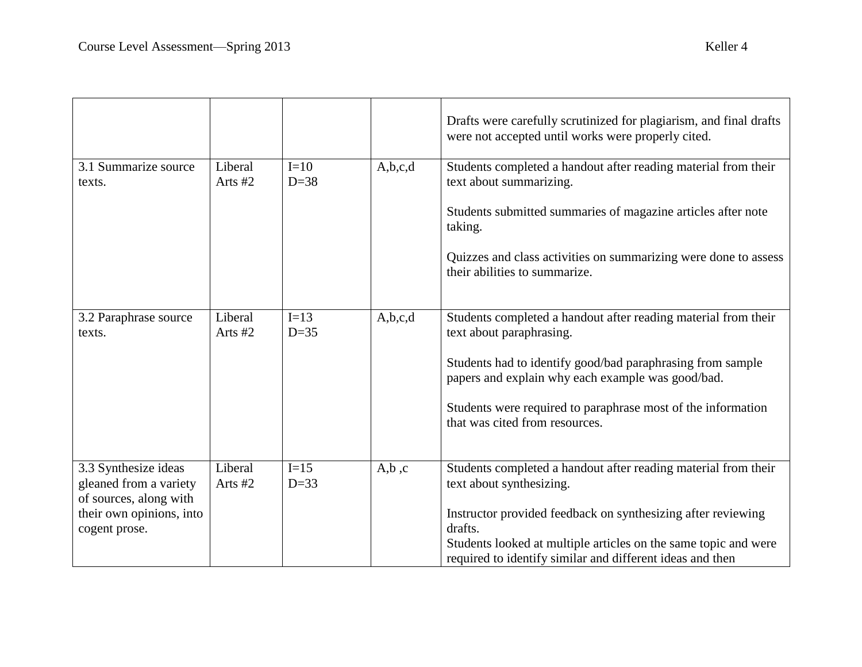|                                           |                      |                  |         | Drafts were carefully scrutinized for plagiarism, and final drafts<br>were not accepted until works were properly cited. |
|-------------------------------------------|----------------------|------------------|---------|--------------------------------------------------------------------------------------------------------------------------|
| 3.1 Summarize source<br>texts.            | Liberal<br>Arts $#2$ | $I=10$<br>$D=38$ | A,b,c,d | Students completed a handout after reading material from their<br>text about summarizing.                                |
|                                           |                      |                  |         | Students submitted summaries of magazine articles after note<br>taking.                                                  |
|                                           |                      |                  |         | Quizzes and class activities on summarizing were done to assess<br>their abilities to summarize.                         |
| 3.2 Paraphrase source<br>texts.           | Liberal<br>Arts #2   | $I=13$<br>$D=35$ | A,b,c,d | Students completed a handout after reading material from their<br>text about paraphrasing.                               |
|                                           |                      |                  |         | Students had to identify good/bad paraphrasing from sample<br>papers and explain why each example was good/bad.          |
|                                           |                      |                  |         | Students were required to paraphrase most of the information<br>that was cited from resources.                           |
| 3.3 Synthesize ideas                      | Liberal              | $I=15$           | A,b,c   | Students completed a handout after reading material from their                                                           |
| gleaned from a variety                    | Arts #2              | $D=33$           |         | text about synthesizing.                                                                                                 |
| of sources, along with                    |                      |                  |         |                                                                                                                          |
| their own opinions, into<br>cogent prose. |                      |                  |         | Instructor provided feedback on synthesizing after reviewing<br>drafts.                                                  |
|                                           |                      |                  |         | Students looked at multiple articles on the same topic and were                                                          |
|                                           |                      |                  |         | required to identify similar and different ideas and then                                                                |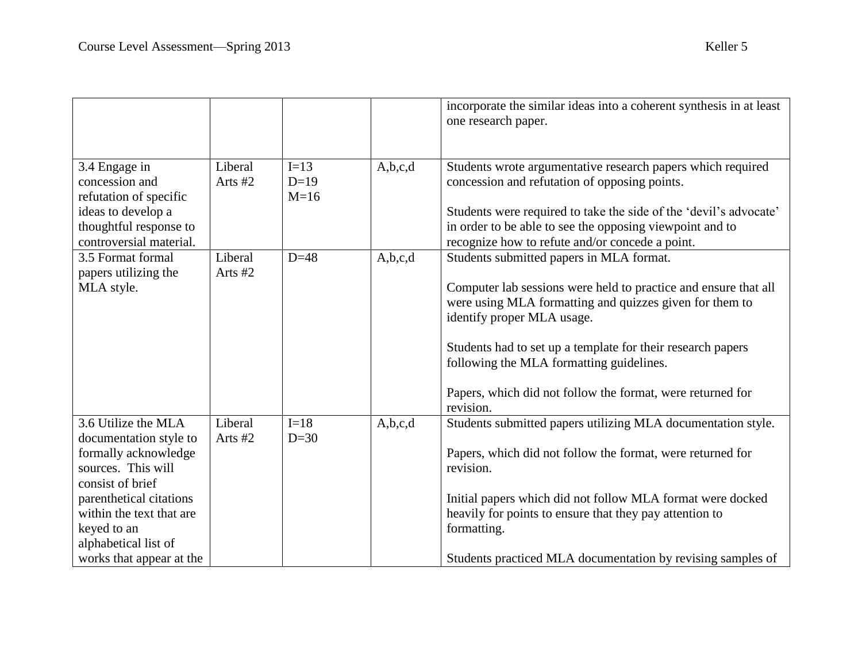|                          |           |        |         | incorporate the similar ideas into a coherent synthesis in at least<br>one research paper.                                 |
|--------------------------|-----------|--------|---------|----------------------------------------------------------------------------------------------------------------------------|
|                          |           |        |         |                                                                                                                            |
| 3.4 Engage in            | Liberal   | $I=13$ | A,b,c,d | Students wrote argumentative research papers which required                                                                |
| concession and           | Arts $#2$ | $D=19$ |         | concession and refutation of opposing points.                                                                              |
| refutation of specific   |           | $M=16$ |         |                                                                                                                            |
| ideas to develop a       |           |        |         | Students were required to take the side of the 'devil's advocate'                                                          |
| thoughtful response to   |           |        |         | in order to be able to see the opposing viewpoint and to                                                                   |
| controversial material.  |           |        |         | recognize how to refute and/or concede a point.                                                                            |
| 3.5 Format formal        | Liberal   | $D=48$ | A,b,c,d | Students submitted papers in MLA format.                                                                                   |
| papers utilizing the     | Arts #2   |        |         |                                                                                                                            |
| MLA style.               |           |        |         | Computer lab sessions were held to practice and ensure that all<br>were using MLA formatting and quizzes given for them to |
|                          |           |        |         | identify proper MLA usage.                                                                                                 |
|                          |           |        |         |                                                                                                                            |
|                          |           |        |         | Students had to set up a template for their research papers                                                                |
|                          |           |        |         | following the MLA formatting guidelines.                                                                                   |
|                          |           |        |         |                                                                                                                            |
|                          |           |        |         | Papers, which did not follow the format, were returned for                                                                 |
|                          |           |        |         | revision.                                                                                                                  |
| 3.6 Utilize the MLA      | Liberal   | $I=18$ | A,b,c,d | Students submitted papers utilizing MLA documentation style.                                                               |
| documentation style to   | Arts $#2$ | $D=30$ |         |                                                                                                                            |
| formally acknowledge     |           |        |         | Papers, which did not follow the format, were returned for                                                                 |
| sources. This will       |           |        |         | revision.                                                                                                                  |
| consist of brief         |           |        |         |                                                                                                                            |
| parenthetical citations  |           |        |         | Initial papers which did not follow MLA format were docked                                                                 |
| within the text that are |           |        |         | heavily for points to ensure that they pay attention to                                                                    |
| keyed to an              |           |        |         | formatting.                                                                                                                |
| alphabetical list of     |           |        |         |                                                                                                                            |
| works that appear at the |           |        |         | Students practiced MLA documentation by revising samples of                                                                |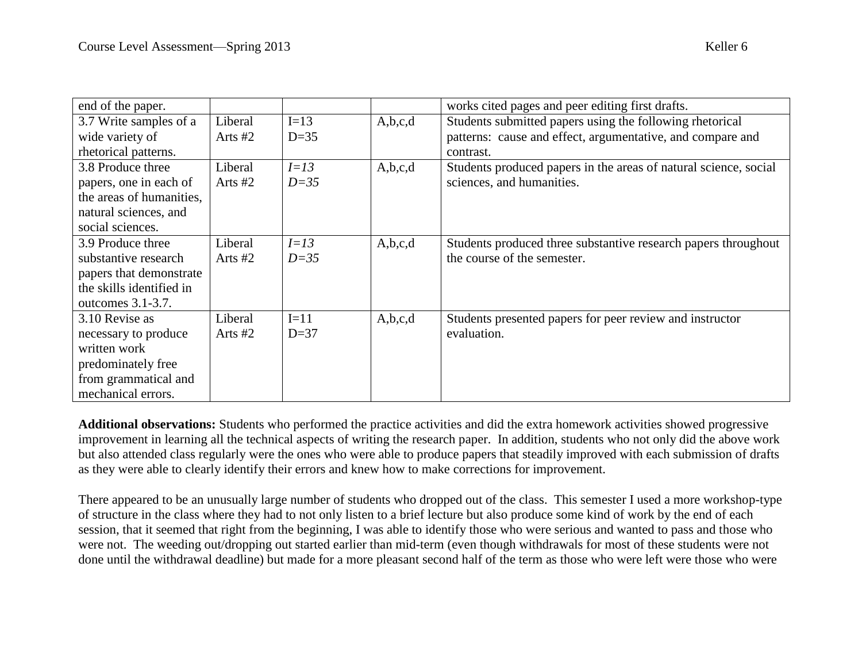| end of the paper.        |           |        |         | works cited pages and peer editing first drafts.                 |
|--------------------------|-----------|--------|---------|------------------------------------------------------------------|
| 3.7 Write samples of a   | Liberal   | $I=13$ | A,b,c,d | Students submitted papers using the following rhetorical         |
| wide variety of          | Arts $#2$ | $D=35$ |         | patterns: cause and effect, argumentative, and compare and       |
| rhetorical patterns.     |           |        |         | contrast.                                                        |
| 3.8 Produce three        | Liberal   | $I=13$ | A,b,c,d | Students produced papers in the areas of natural science, social |
| papers, one in each of   | Arts $#2$ | $D=35$ |         | sciences, and humanities.                                        |
| the areas of humanities, |           |        |         |                                                                  |
| natural sciences, and    |           |        |         |                                                                  |
| social sciences.         |           |        |         |                                                                  |
| 3.9 Produce three        | Liberal   | $I=13$ | A,b,c,d | Students produced three substantive research papers throughout   |
| substantive research     | Arts $#2$ | $D=35$ |         | the course of the semester.                                      |
| papers that demonstrate  |           |        |         |                                                                  |
| the skills identified in |           |        |         |                                                                  |
| outcomes 3.1-3.7.        |           |        |         |                                                                  |
| 3.10 Revise as           | Liberal   | $I=11$ | A,b,c,d | Students presented papers for peer review and instructor         |
| necessary to produce     | Arts $#2$ | $D=37$ |         | evaluation.                                                      |
| written work             |           |        |         |                                                                  |
| predominately free       |           |        |         |                                                                  |
| from grammatical and     |           |        |         |                                                                  |
| mechanical errors.       |           |        |         |                                                                  |

**Additional observations:** Students who performed the practice activities and did the extra homework activities showed progressive improvement in learning all the technical aspects of writing the research paper. In addition, students who not only did the above work but also attended class regularly were the ones who were able to produce papers that steadily improved with each submission of drafts as they were able to clearly identify their errors and knew how to make corrections for improvement.

There appeared to be an unusually large number of students who dropped out of the class. This semester I used a more workshop-type of structure in the class where they had to not only listen to a brief lecture but also produce some kind of work by the end of each session, that it seemed that right from the beginning, I was able to identify those who were serious and wanted to pass and those who were not. The weeding out/dropping out started earlier than mid-term (even though withdrawals for most of these students were not done until the withdrawal deadline) but made for a more pleasant second half of the term as those who were left were those who were